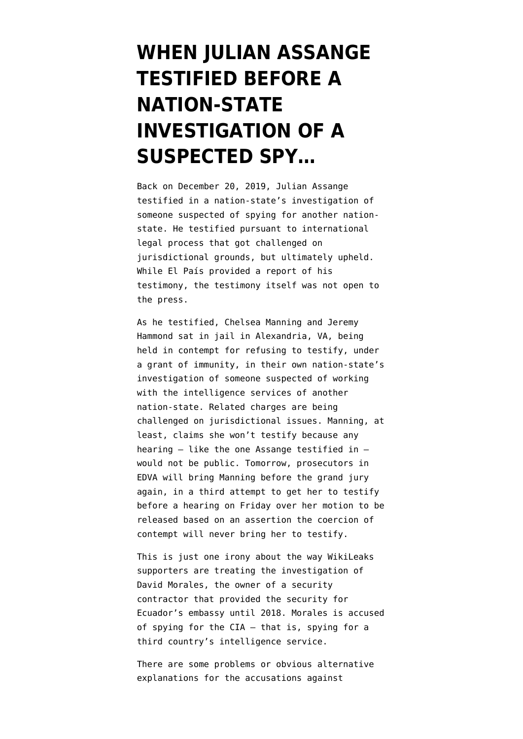## **[WHEN JULIAN ASSANGE](https://www.emptywheel.net/2020/03/09/when-julian-assange-testified-before-a-nation-state-investigation-of-a-suspected-spy/) [TESTIFIED BEFORE A](https://www.emptywheel.net/2020/03/09/when-julian-assange-testified-before-a-nation-state-investigation-of-a-suspected-spy/) [NATION-STATE](https://www.emptywheel.net/2020/03/09/when-julian-assange-testified-before-a-nation-state-investigation-of-a-suspected-spy/) [INVESTIGATION OF A](https://www.emptywheel.net/2020/03/09/when-julian-assange-testified-before-a-nation-state-investigation-of-a-suspected-spy/) [SUSPECTED SPY…](https://www.emptywheel.net/2020/03/09/when-julian-assange-testified-before-a-nation-state-investigation-of-a-suspected-spy/)**

Back on December 20, 2019, Julian Assange [testified](https://elpais.com/internacional/2019/12/20/actualidad/1576859337_504860.html?utm_source=dlvr.it&utm_medium=twitter#?ref=rss&format=simple&link=link) in a nation-state's investigation of someone suspected of spying for another nationstate. He testified pursuant to international legal process that got [challenged](https://elpais.com/internacional/2019/10/18/actualidad/1571413462_324840.html) on jurisdictional grounds, but ultimately upheld. While El País provided [a report](https://elpais.com/internacional/2019/12/20/actualidad/1576859337_504860.html?utm_source=dlvr.it&utm_medium=twitter#?ref=rss&format=simple&link=link) of his testimony, the testimony itself was not open to the press.

As he testified, Chelsea Manning and Jeremy Hammond sat in jail in Alexandria, VA, being held in contempt for refusing to testify, under a grant of immunity, in their own nation-state's investigation of someone suspected of working with the intelligence services of another nation-state. Related charges are being challenged on jurisdictional issues. Manning, at least, [claims](https://www.sparrowmedia.net/2020/01/chelsea-manning-responds-to-united-nations-rapporteurs-call-for-her-release/) she won't testify because any hearing — like the one Assange testified in would not be public. Tomorrow, prosecutors in EDVA will [bring Manning before the grand jury](https://www.courtlistener.com/recap/gov.uscourts.vaed.412520/gov.uscourts.vaed.412520.33.0_2.pdf) [again](https://www.courtlistener.com/recap/gov.uscourts.vaed.412520/gov.uscourts.vaed.412520.33.0_2.pdf), in a third attempt to get her to testify before a hearing on Friday over her [motion](https://www.courtlistener.com/recap/gov.uscourts.vaed.412520/gov.uscourts.vaed.412520.31.0.pdf) to be released based on an assertion the coercion of contempt will never bring her to testify.

This is just one irony about the way WikiLeaks supporters are treating the investigation of David Morales, the owner of a security contractor that provided the security for Ecuador's embassy until 2018. Morales is accused of spying for the CIA — that is, spying for a third country's intelligence service.

There are [some problems](https://www.emptywheel.net/2020/02/23/the-inconsistencies-of-the-uc-global-julian-assange-spying-story/) or obvious alternative explanations for the accusations against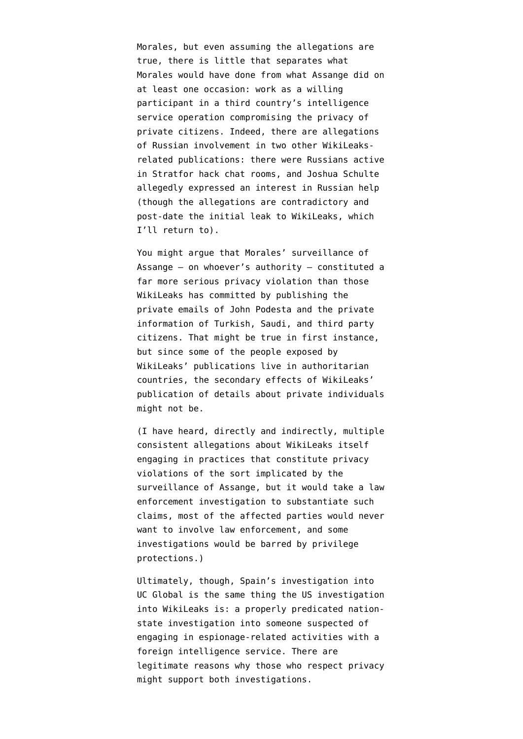Morales, but even assuming the allegations are true, there is little that separates what Morales would have done from what Assange did on at least one occasion: work as a willing participant in a third country's intelligence service operation compromising the privacy of private citizens. Indeed, there are allegations of Russian involvement in two other WikiLeaksrelated publications: there were Russians active in Stratfor hack chat rooms, and Joshua Schulte allegedly expressed an interest in Russian help (though the allegations are contradictory and post-date the initial leak to WikiLeaks, which I'll return to).

You might argue that Morales' surveillance of Assange — on whoever's authority — constituted a far more serious privacy violation than those WikiLeaks has committed by publishing the private emails of John Podesta and the private information of Turkish, Saudi, and third party citizens. That might be true in first instance, but since some of the people exposed by WikiLeaks' publications live in authoritarian countries, the secondary effects of WikiLeaks' publication of details about private individuals might not be.

(I have heard, directly and indirectly, multiple consistent allegations about WikiLeaks itself engaging in practices that constitute privacy violations of the sort implicated by the surveillance of Assange, but it would take a law enforcement investigation to substantiate such claims, most of the affected parties would never want to involve law enforcement, and some investigations would be barred by privilege protections.)

Ultimately, though, Spain's investigation into UC Global is the same thing the US investigation into WikiLeaks is: a properly predicated nationstate investigation into someone suspected of engaging in espionage-related activities with a foreign intelligence service. There are legitimate reasons why those who respect privacy might support both investigations.